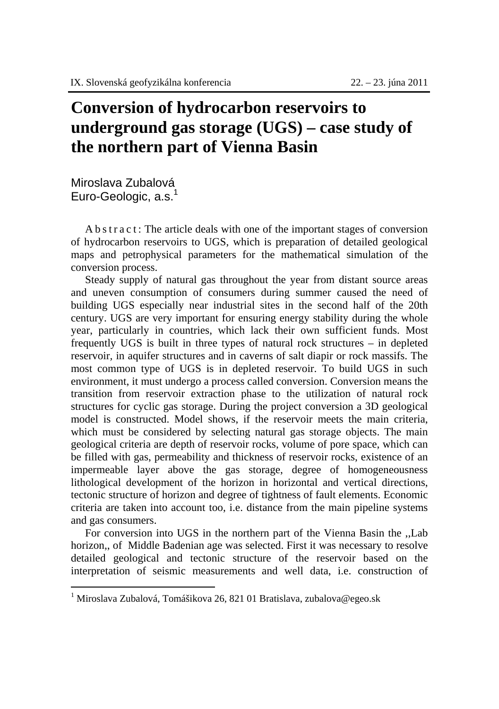## **Conversion of hydrocarbon reservoirs to underground gas storage (UGS) – case study of the northern part of Vienna Basin**

Miroslava Zubalová Euro-Geologic, a.s.<sup>1</sup>

A b s t r a c t : The article deals with one of the important stages of conversion of hydrocarbon reservoirs to UGS, which is preparation of detailed geological maps and petrophysical parameters for the mathematical simulation of the conversion process.

Steady supply of natural gas throughout the year from distant source areas and uneven consumption of consumers during summer caused the need of building UGS especially near industrial sites in the second half of the 20th century. UGS are very important for ensuring energy stability during the whole year, particularly in countries, which lack their own sufficient funds. Most frequently UGS is built in three types of natural rock structures – in depleted reservoir*,* in aquifer structures and in caverns of salt diapir or rock massifs. The most common type of UGS is in depleted reservoir. To build UGS in such environment, it must undergo a process called conversion. Conversion means the transition from reservoir extraction phase to the utilization of natural rock structures for cyclic gas storage. During the project conversion a 3D geological model is constructed. Model shows, if the reservoir meets the main criteria, which must be considered by selecting natural gas storage objects. The main geological criteria are depth of reservoir rocks, volume of pore space, which can be filled with gas, permeability and thickness of reservoir rocks, existence of an impermeable layer above the gas storage, degree of homogeneousness lithological development of the horizon in horizontal and vertical directions, tectonic structure of horizon and degree of tightness of fault elements. Economic criteria are taken into account too, i.e. distance from the main pipeline systems and gas consumers.

For conversion into UGS in the northern part of the Vienna Basin the ,,Lab horizon,, of Middle Badenian age was selected. First it was necessary to resolve detailed geological and tectonic structure of the reservoir based on the interpretation of seismic measurements and well data, i.e. construction of

 1 Miroslava Zubalová, Tomášikova 26, 821 01 Bratislava, zubalova@egeo.sk